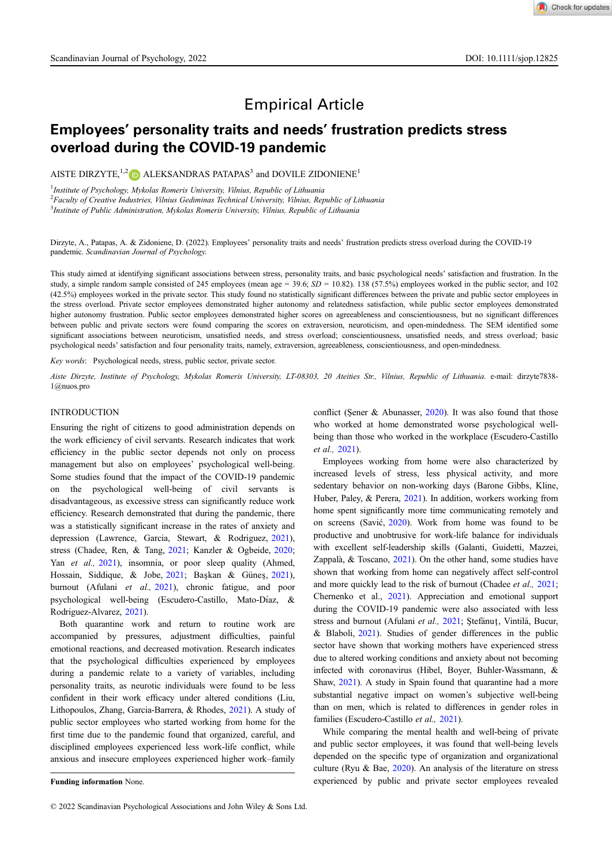# Empirical Article

## Employees' personality traits and needs' frustration predicts stress overload during the COVID-19 pandemic

AISTE DIRZYTE,<sup>1,2</sup> D ALEKSANDRAS PATAPAS<sup>3</sup> and DOVILE ZIDONIENE<sup>1</sup>

<sup>1</sup>Institute of Psychology, Mykolas Romeris University, Vilnius, Republic of Lithuania

 ${}^{2}$ Faculty of Creative Industries, Vilnius Gediminas Technical University, Vilnius, Republic of Lithuania

<sup>3</sup>Institute of Public Administration, Mykolas Romeris University, Vilnius, Republic of Lithuania

Dirzyte, A., Patapas, A. & Zidoniene, D. (2022). Employees' personality traits and needs' frustration predicts stress overload during the COVID-19 pandemic. Scandinavian Journal of Psychology.

This study aimed at identifying significant associations between stress, personality traits, and basic psychological needs' satisfaction and frustration. In the study, a simple random sample consisted of 245 employees (mean age = 39.6;  $SD = 10.82$ ). 138 (57.5%) employees worked in the public sector, and 102 (42.5%) employees worked in the private sector. This study found no statistically significant differences between the private and public sector employees in the stress overload. Private sector employees demonstrated higher autonomy and relatedness satisfaction, while public sector employees demonstrated higher autonomy frustration. Public sector employees demonstrated higher scores on agreeableness and conscientiousness, but no significant differences between public and private sectors were found comparing the scores on extraversion, neuroticism, and open-mindedness. The SEM identified some significant associations between neuroticism, unsatisfied needs, and stress overload; conscientiousness, unsatisfied needs, and stress overload; basic psychological needs' satisfaction and four personality traits, namely, extraversion, agreeableness, conscientiousness, and open-mindedness.

Key words: Psychological needs, stress, public sector, private sector.

Aiste Dirzyte, Institute of Psychology, Mykolas Romeris University, LT-08303, 20 Ateities Str., Vilnius, Republic of Lithuania. e-mail: [dirzyte7838-](mailto:dirzyte7838-1@nuos.pro) [1@nuos.pro](mailto:dirzyte7838-1@nuos.pro)

#### INTRODUCTION

Ensuring the right of citizens to good administration depends on the work efficiency of civil servants. Research indicates that work efficiency in the public sector depends not only on process management but also on employees' psychological well-being. Some studies found that the impact of the COVID-19 pandemic on the psychological well-being of civil servants is disadvantageous, as excessive stress can significantly reduce work efficiency. Research demonstrated that during the pandemic, there was a statistically significant increase in the rates of anxiety and depression (Lawrence, Garcia, Stewart, & Rodriguez, [2021\)](#page-8-0), stress (Chadee, Ren, & Tang, [2021](#page-8-0); Kanzler & Ogbeide, [2020;](#page-8-0) Yan et al., [2021\)](#page-8-0), insomnia, or poor sleep quality (Ahmed, Hossain, Siddique, & Jobe, [2021](#page-8-0); Başkan & Günes, [2021\)](#page-8-0), burnout (Afulani et al., [2021](#page-8-0)), chronic fatigue, and poor psychological well-being (Escudero-Castillo, Mato-Díaz, & Rodriguez-Alvarez, [2021\)](#page-8-0).

Both quarantine work and return to routine work are accompanied by pressures, adjustment difficulties, painful emotional reactions, and decreased motivation. Research indicates that the psychological difficulties experienced by employees during a pandemic relate to a variety of variables, including personality traits, as neurotic individuals were found to be less confident in their work efficacy under altered conditions (Liu, Lithopoulos, Zhang, Garcia-Barrera, & Rhodes, [2021\)](#page-8-0). A study of public sector employees who started working from home for the first time due to the pandemic found that organized, careful, and disciplined employees experienced less work-life conflict, while anxious and insecure employees experienced higher work–family conflict (Sener & Abunasser,  $2020$ ). It was also found that those who worked at home demonstrated worse psychological wellbeing than those who worked in the workplace (Escudero-Castillo et al., [2021](#page-8-0)).

Employees working from home were also characterized by increased levels of stress, less physical activity, and more sedentary behavior on non-working days (Barone Gibbs, Kline, Huber, Paley, & Perera, [2021](#page-8-0)). In addition, workers working from home spent significantly more time communicating remotely and on screens (Savić, [2020\)](#page-8-0). Work from home was found to be productive and unobtrusive for work-life balance for individuals with excellent self-leadership skills (Galanti, Guidetti, Mazzei, Zappala, & Toscano, [2021\)](#page-8-0). On the other hand, some studies have shown that working from home can negatively affect self-control and more quickly lead to the risk of burnout (Chadee et al., [2021;](#page-8-0) Chernenko et al., [2021](#page-8-0)). Appreciation and emotional support during the COVID-19 pandemic were also associated with less stress and burnout (Afulani et al., [2021;](#page-8-0) Stefănuț, Vintilă, Bucur, & Blaboli, [2021](#page-8-0)). Studies of gender differences in the public sector have shown that working mothers have experienced stress due to altered working conditions and anxiety about not becoming infected with coronavirus (Hibel, Boyer, Buhler-Wassmann, & Shaw, [2021](#page-8-0)). A study in Spain found that quarantine had a more substantial negative impact on women's subjective well-being than on men, which is related to differences in gender roles in families (Escudero-Castillo et al., [2021\)](#page-8-0).

While comparing the mental health and well-being of private and public sector employees, it was found that well-being levels depended on the specific type of organization and organizational culture (Ryu & Bae, [2020\)](#page-8-0). An analysis of the literature on stress Funding information None. The experienced by public and private sector employees revealed

<sup>© 2022</sup> Scandinavian Psychological Associations and John Wiley & Sons Ltd.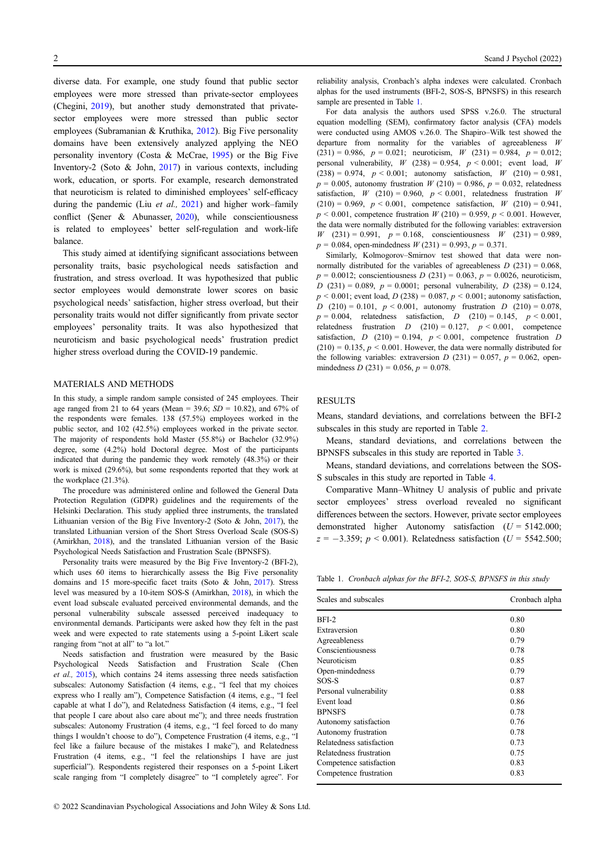diverse data. For example, one study found that public sector employees were more stressed than private-sector employees (Chegini, [2019](#page-8-0)), but another study demonstrated that privatesector employees were more stressed than public sector employees (Subramanian & Kruthika, [2012](#page-8-0)). Big Five personality domains have been extensively analyzed applying the NEO personality inventory (Costa & McCrae, [1995\)](#page-8-0) or the Big Five Inventory-2 (Soto & John, [2017\)](#page-8-0) in various contexts, including work, education, or sports. For example, research demonstrated that neuroticism is related to diminished employees' self-efficacy during the pandemic (Liu et al., [2021](#page-8-0)) and higher work–family conflict (Sener & Abunasser, [2020\)](#page-8-0), while conscientiousness is related to employees' better self-regulation and work-life balance.

This study aimed at identifying significant associations between personality traits, basic psychological needs satisfaction and frustration, and stress overload. It was hypothesized that public sector employees would demonstrate lower scores on basic psychological needs' satisfaction, higher stress overload, but their personality traits would not differ significantly from private sector employees' personality traits. It was also hypothesized that neuroticism and basic psychological needs' frustration predict higher stress overload during the COVID-19 pandemic.

#### MATERIALS AND METHODS

In this study, a simple random sample consisted of 245 employees. Their age ranged from 21 to 64 years (Mean = 39.6;  $SD = 10.82$ ), and 67% of the respondents were females. 138 (57.5%) employees worked in the public sector, and 102 (42.5%) employees worked in the private sector. The majority of respondents hold Master (55.8%) or Bachelor (32.9%) degree, some (4.2%) hold Doctoral degree. Most of the participants indicated that during the pandemic they work remotely (48.3%) or their work is mixed (29.6%), but some respondents reported that they work at the workplace (21.3%).

The procedure was administered online and followed the General Data Protection Regulation (GDPR) guidelines and the requirements of the Helsinki Declaration. This study applied three instruments, the translated Lithuanian version of the Big Five Inventory-2 (Soto & John, [2017\)](#page-8-0), the translated Lithuanian version of the Short Stress Overload Scale (SOS-S) (Amirkhan, [2018\)](#page-8-0), and the translated Lithuanian version of the Basic Psychological Needs Satisfaction and Frustration Scale (BPNSFS).

Personality traits were measured by the Big Five Inventory-2 (BFI-2), which uses 60 items to hierarchically assess the Big Five personality domains and 15 more-specific facet traits (Soto & John, [2017\)](#page-8-0). Stress level was measured by a 10-item SOS-S (Amirkhan, [2018\)](#page-8-0), in which the event load subscale evaluated perceived environmental demands, and the personal vulnerability subscale assessed perceived inadequacy to environmental demands. Participants were asked how they felt in the past week and were expected to rate statements using a 5-point Likert scale ranging from "not at all" to "a lot."

Needs satisfaction and frustration were measured by the Basic Psychological Needs Satisfaction and Frustration Scale (Chen et al., [2015\)](#page-8-0), which contains 24 items assessing three needs satisfaction subscales: Autonomy Satisfaction (4 items, e.g., "I feel that my choices express who I really am"), Competence Satisfaction (4 items, e.g., "I feel capable at what I do"), and Relatedness Satisfaction (4 items, e.g., "I feel that people I care about also care about me"); and three needs frustration subscales: Autonomy Frustration (4 items, e.g., "I feel forced to do many things I wouldn't choose to do"), Competence Frustration (4 items, e.g., "I feel like a failure because of the mistakes I make"), and Relatedness Frustration (4 items, e.g., "I feel the relationships I have are just superficial"). Respondents registered their responses on a 5-point Likert scale ranging from "I completely disagree" to "I completely agree". For reliability analysis, Cronbach's alpha indexes were calculated. Cronbach alphas for the used instruments (BFI-2, SOS-S, BPNSFS) in this research sample are presented in Table 1.

For data analysis the authors used SPSS v.26.0. The structural equation modelling (SEM), confirmatory factor analysis (CFA) models were conducted using AMOS v.26.0. The Shapiro–Wilk test showed the departure from normality for the variables of agreeableness W  $(231) = 0.986$ ,  $p = 0.021$ ; neuroticism, W  $(231) = 0.984$ ,  $p = 0.012$ ; personal vulnerability,  $W$  (238) = 0.954,  $p < 0.001$ ; event load,  $W$  $(238) = 0.974$ ,  $p < 0.001$ ; autonomy satisfaction,  $W$   $(210) = 0.981$ ,  $p = 0.005$ , autonomy frustration  $W(210) = 0.986$ ,  $p = 0.032$ , relatedness satisfaction,  $W$  (210) = 0.960,  $p < 0.001$ , relatedness frustration W  $(210) = 0.969$ ,  $p < 0.001$ , competence satisfaction, W  $(210) = 0.941$ ,  $p < 0.001$ , competence frustration  $W(210) = 0.959$ ,  $p < 0.001$ . However, the data were normally distributed for the following variables: extraversion W  $(231) = 0.991$ ,  $p = 0.168$ , conscientiousness W  $(231) = 0.989$ ,  $p = 0.084$ , open-mindedness  $W(231) = 0.993$ ,  $p = 0.371$ .

Similarly, Kolmogorov–Smirnov test showed that data were nonnormally distributed for the variables of agreeableness  $D(231) = 0.068$ ,  $p = 0.0012$ ; conscientiousness  $D(231) = 0.063$ ,  $p = 0.0026$ , neuroticism, D (231) = 0.089,  $p = 0.0001$ ; personal vulnerability, D (238) = 0.124,  $p < 0.001$ ; event load,  $D(238) = 0.087, p < 0.001$ ; autonomy satisfaction, D (210) = 0.101,  $p < 0.001$ , autonomy frustration D (210) = 0.078,  $p = 0.004$ , relatedness satisfaction, D (210) = 0.145,  $p < 0.001$ , relatedness frustration  $D$  (210) = 0.127,  $p < 0.001$ , competence satisfaction,  $D (210) = 0.194$ ,  $p < 0.001$ , competence frustration  $D$  $(210) = 0.135$ ,  $p \le 0.001$ . However, the data were normally distributed for the following variables: extraversion  $D(231) = 0.057$ ,  $p = 0.062$ , openmindedness  $D(231) = 0.056$ ,  $p = 0.078$ .

#### RESULTS

Means, standard deviations, and correlations between the BFI-2 subscales in this study are reported in Table [2.](#page-2-0)

Means, standard deviations, and correlations between the BPNSFS subscales in this study are reported in Table [3](#page-2-0).

Means, standard deviations, and correlations between the SOS-S subscales in this study are reported in Table [4](#page-2-0).

Comparative Mann–Whitney U analysis of public and private sector employees' stress overload revealed no significant differences between the sectors. However, private sector employees demonstrated higher Autonomy satisfaction  $(U = 5142.000)$ ;  $z = -3.359$ ;  $p < 0.001$ ). Relatedness satisfaction (U = 5542.500;

Table 1. Cronbach alphas for the BFI-2, SOS-S, BPNSFS in this study

| Scales and subscales     | Cronbach alpha |
|--------------------------|----------------|
| BFI-2                    | 0.80           |
| Extraversion             | 0.80           |
| Agreeableness            | 0.79           |
| Conscientiousness        | 0.78           |
| Neuroticism              | 0.85           |
| Open-mindedness          | 0.79           |
| SOS-S                    | 0.87           |
| Personal vulnerability   | 0.88           |
| Event load               | 0.86           |
| <b>BPNSFS</b>            | 0.78           |
| Autonomy satisfaction    | 0.76           |
| Autonomy frustration     | 0.78           |
| Relatedness satisfaction | 0.73           |
| Relatedness frustration  | 0.75           |
| Competence satisfaction  | 0.83           |
| Competence frustration   | 0.83           |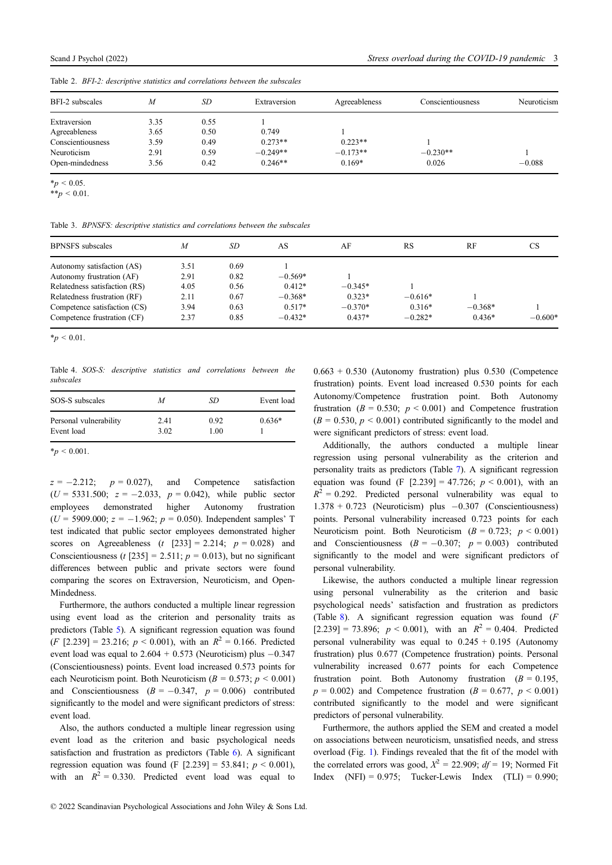<span id="page-2-0"></span>Table 2. BFI-2: descriptive statistics and correlations between the subscales

| BFI-2 subscales   | M    | SD   | Extraversion | Agreeableness | Conscientiousness | Neuroticism |
|-------------------|------|------|--------------|---------------|-------------------|-------------|
| Extraversion      | 3.35 | 0.55 |              |               |                   |             |
| Agreeableness     | 3.65 | 0.50 | 0.749        |               |                   |             |
| Conscientiousness | 3.59 | 0.49 | $0.273**$    | $0.223**$     |                   |             |
| Neuroticism       | 2.91 | 0.59 | $-0.249**$   | $-0.173**$    | $-0.230**$        |             |
| Open-mindedness   | 3.56 | 0.42 | $0.246**$    | $0.169*$      | 0.026             | $-0.088$    |

 $*_{p}$  < 0.05.

Table 3. BPNSFS: descriptive statistics and correlations between the subscales

| <b>BPNSFS</b> subscales       | $\boldsymbol{M}$ | SD   | AS        | AF        | <b>RS</b> | RF        | <b>CS</b> |
|-------------------------------|------------------|------|-----------|-----------|-----------|-----------|-----------|
| Autonomy satisfaction (AS)    | 3.51             | 0.69 |           |           |           |           |           |
| Autonomy frustration (AF)     | 2.91             | 0.82 | $-0.569*$ |           |           |           |           |
| Relatedness satisfaction (RS) | 4.05             | 0.56 | $0.412*$  | $-0.345*$ |           |           |           |
| Relatedness frustration (RF)  | 2.11             | 0.67 | $-0.368*$ | $0.323*$  | $-0.616*$ |           |           |
| Competence satisfaction (CS)  | 3.94             | 0.63 | $0.517*$  | $-0.370*$ | $0.316*$  | $-0.368*$ |           |
| Competence frustration (CF)   | 2.37             | 0.85 | $-0.432*$ | $0.437*$  | $-0.282*$ | $0.436*$  | $-0.600*$ |

 $*_p$  < 0.01.

Table 4. SOS-S: descriptive statistics and correlations between the subscales

| SOS-S subscales        | M    | SD   | Event load |
|------------------------|------|------|------------|
| Personal vulnerability | 2.41 | 0.92 | $0.636*$   |
| Event load             | 3.02 | 1.00 |            |

 $*_{p}$  < 0.001.

 $z = -2.212$ ;  $p = 0.027$ , and Competence satisfaction  $(U = 5331.500; z = -2.033, p = 0.042)$ , while public sector employees demonstrated higher Autonomy frustration employees demonstrated higher Autonomy frustration  $(U = 5909.000; z = -1.962; p = 0.050)$ . Independent samples' T test indicated that public sector employees demonstrated higher scores on Agreeableness  $(t [233] = 2.214; p = 0.028)$  and Conscientiousness (t [235] = 2.511;  $p = 0.013$ ), but no significant differences between public and private sectors were found comparing the scores on Extraversion, Neuroticism, and Open-Mindedness.

Furthermore, the authors conducted a multiple linear regression using event load as the criterion and personality traits as predictors (Table [5](#page-3-0)). A significant regression equation was found  $(F [2.239] = 23.216; p < 0.001)$ , with an  $R^2 = 0.166$ . Predicted event load was equal to  $2.604 + 0.573$  (Neuroticism) plus  $-0.347$ (Conscientiousness) points. Event load increased 0.573 points for each Neuroticism point. Both Neuroticism ( $B = 0.573$ ;  $p \le 0.001$ ) and Conscientiousness  $(B = -0.347, p = 0.006)$  contributed significantly to the model and were significant predictors of stress: event load.

Also, the authors conducted a multiple linear regression using event load as the criterion and basic psychological needs satisfaction and frustration as predictors (Table [6\)](#page-3-0). A significant regression equation was found (F  $[2.239] = 53.841$ ;  $p < 0.001$ ), with an  $R^2 = 0.330$ . Predicted event load was equal to  $0.663 + 0.530$  (Autonomy frustration) plus  $0.530$  (Competence frustration) points. Event load increased 0.530 points for each Autonomy/Competence frustration point. Both Autonomy frustration ( $B = 0.530$ ;  $p < 0.001$ ) and Competence frustration  $(B = 0.530, p \le 0.001)$  contributed significantly to the model and were significant predictors of stress: event load.

Additionally, the authors conducted a multiple linear regression using personal vulnerability as the criterion and personality traits as predictors (Table [7](#page-4-0)). A significant regression equation was found (F  $[2.239] = 47.726$ ;  $p < 0.001$ ), with an  $R^2 = 0.292$ . Predicted personal vulnerability was equal to  $1.378 + 0.723$  (Neuroticism) plus  $-0.307$  (Conscientiousness) points. Personal vulnerability increased 0.723 points for each Neuroticism point. Both Neuroticism ( $B = 0.723$ ;  $p < 0.001$ ) and Conscientiousness  $(B = -0.307; p = 0.003)$  contributed significantly to the model and were significant predictors of personal vulnerability.

Likewise, the authors conducted a multiple linear regression using personal vulnerability as the criterion and basic psychological needs' satisfaction and frustration as predictors (Table [8](#page-4-0)). A significant regression equation was found  $(F)$  $[2.239] = 73.896$ ;  $p < 0.001$ ), with an  $R^2 = 0.404$ . Predicted personal vulnerability was equal to  $0.245 + 0.195$  (Autonomy frustration) plus 0.677 (Competence frustration) points. Personal vulnerability increased 0.677 points for each Competence frustration point. Both Autonomy frustration  $(B = 0.195,$  $p = 0.002$ ) and Competence frustration ( $B = 0.677$ ,  $p \le 0.001$ ) contributed significantly to the model and were significant predictors of personal vulnerability.

Furthermore, the authors applied the SEM and created a model on associations between neuroticism, unsatisfied needs, and stress overload (Fig. [1](#page-5-0)). Findings revealed that the fit of the model with the correlated errors was good,  $X^2 = 22.909$ ;  $df = 19$ ; Normed Fit Index  $(NFI) = 0.975$ ; Tucker-Lewis Index  $(TLI) = 0.990$ ;

 $**_p < 0.01$ .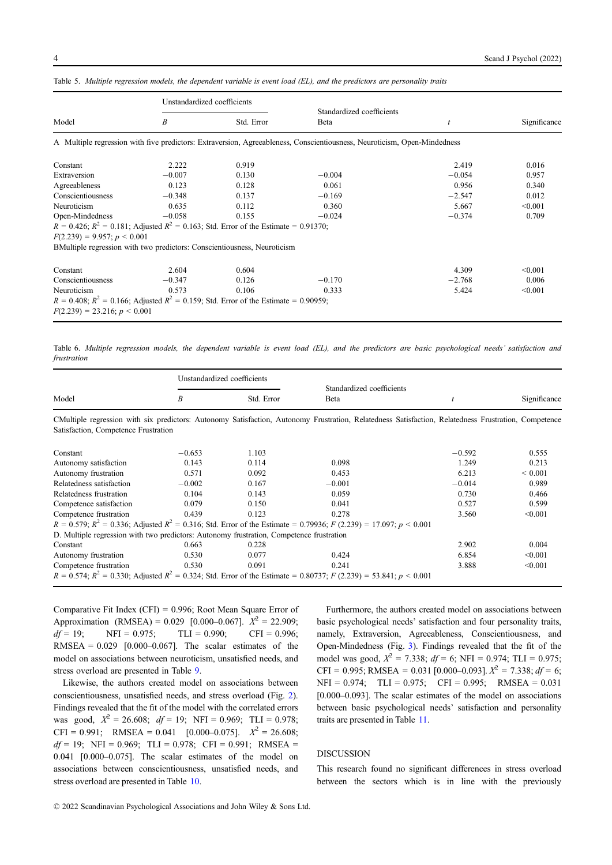|                                                                                                                                   | Unstandardized coefficients |            |                                                                                                                          |                  |              |
|-----------------------------------------------------------------------------------------------------------------------------------|-----------------------------|------------|--------------------------------------------------------------------------------------------------------------------------|------------------|--------------|
| Model                                                                                                                             | B                           | Std. Error | Standardized coefficients<br>Beta                                                                                        | $\boldsymbol{t}$ | Significance |
|                                                                                                                                   |                             |            | A Multiple regression with five predictors: Extraversion, Agreeableness, Conscientiousness, Neuroticism, Open-Mindedness |                  |              |
| Constant                                                                                                                          | 2.222                       | 0.919      |                                                                                                                          | 2.419            | 0.016        |
| Extraversion                                                                                                                      | $-0.007$                    | 0.130      | $-0.004$                                                                                                                 | $-0.054$         | 0.957        |
| Agreeableness                                                                                                                     | 0.123                       | 0.128      | 0.061                                                                                                                    | 0.956            | 0.340        |
| Conscientiousness                                                                                                                 | $-0.348$                    | 0.137      | $-0.169$                                                                                                                 | $-2.547$         | 0.012        |
| Neuroticism                                                                                                                       | 0.635                       | 0.112      | 0.360                                                                                                                    | 5.667            | < 0.001      |
| Open-Mindedness                                                                                                                   | $-0.058$                    | 0.155      | $-0.024$                                                                                                                 | $-0.374$         | 0.709        |
| $R = 0.426$ ; $R^2 = 0.181$ ; Adjusted $R^2 = 0.163$ ; Std. Error of the Estimate = 0.91370;                                      |                             |            |                                                                                                                          |                  |              |
| $F(2.239) = 9.957$ ; $p < 0.001$                                                                                                  |                             |            |                                                                                                                          |                  |              |
| BMultiple regression with two predictors: Conscientiousness, Neuroticism                                                          |                             |            |                                                                                                                          |                  |              |
| Constant                                                                                                                          | 2.604                       | 0.604      |                                                                                                                          | 4.309            | < 0.001      |
| Conscientiousness                                                                                                                 | $-0.347$                    | 0.126      | $-0.170$                                                                                                                 | $-2.768$         | 0.006        |
| Neuroticism                                                                                                                       | 0.573                       | 0.106      | 0.333                                                                                                                    | 5.424            | < 0.001      |
| $R = 0.408$ ; $R^2 = 0.166$ ; Adjusted $R^2 = 0.159$ ; Std. Error of the Estimate = 0.90959;<br>$F(2.239) = 23.216$ ; $p < 0.001$ |                             |            |                                                                                                                          |                  |              |

<span id="page-3-0"></span>Table 5. Multiple regression models, the dependent variable is event load (EL), and the predictors are personality traits

Table 6. Multiple regression models, the dependent variable is event load (EL), and the predictors are basic psychological needs' satisfaction and frustration

|                                                                                                                                                      | Unstandardized coefficients |            |                                           |          |              |
|------------------------------------------------------------------------------------------------------------------------------------------------------|-----------------------------|------------|-------------------------------------------|----------|--------------|
| Model                                                                                                                                                | Β                           | Std. Error | Standardized coefficients<br><b>B</b> eta |          | Significance |
| CMultiple regression with six predictors: Autonomy Satisfaction, Autonomy Frustration, Relatedness Satisfaction, Relatedness Frustration, Competence |                             |            |                                           |          |              |
| Satisfaction, Competence Frustration                                                                                                                 |                             |            |                                           |          |              |
| Constant                                                                                                                                             | $-0.653$                    | 1.103      |                                           | $-0.592$ | 0.555        |
| Autonomy satisfaction                                                                                                                                | 0.143                       | 0.114      | 0.098                                     | 1.249    | 0.213        |
| Autonomy frustration                                                                                                                                 | 0.571                       | 0.092      | 0.453                                     | 6.213    | ${}< 0.001$  |
| Relatedness satisfaction                                                                                                                             | $-0.002$                    | 0.167      | $-0.001$                                  | $-0.014$ | 0.989        |
| Relatedness frustration                                                                                                                              | 0.104                       | 0.143      | 0.059                                     | 0.730    | 0.466        |
| Competence satisfaction                                                                                                                              | 0.079                       | 0.150      | 0.041                                     | 0.527    | 0.599        |
| Competence frustration                                                                                                                               | 0.439                       | 0.123      | 0.278                                     | 3.560    | < 0.001      |
| $R = 0.579$ ; $R^2 = 0.336$ ; Adjusted $R^2 = 0.316$ ; Std. Error of the Estimate = 0.79936; $F(2.239) = 17.097$ ; $p < 0.001$                       |                             |            |                                           |          |              |
| D. Multiple regression with two predictors: Autonomy frustration, Competence frustration                                                             |                             |            |                                           |          |              |
| Constant                                                                                                                                             | 0.663                       | 0.228      |                                           | 2.902    | 0.004        |
| Autonomy frustration                                                                                                                                 | 0.530                       | 0.077      | 0.424                                     | 6.854    | < 0.001      |
| Competence frustration                                                                                                                               | 0.530                       | 0.091      | 0.241                                     | 3.888    | < 0.001      |
| $R = 0.574$ ; $R^2 = 0.330$ ; Adjusted $R^2 = 0.324$ ; Std. Error of the Estimate = 0.80737; $F(2.239) = 53.841$ ; $p < 0.001$                       |                             |            |                                           |          |              |

Comparative Fit Index (CFI) = 0.996; Root Mean Square Error of Approximation (RMSEA) =  $0.029$  [0.000–0.067].  $X^2 = 22.909$ ;  $df = 19$ ; NFI = 0.975; TLI = 0.990; CFI = 0.996; RMSEA =  $0.029$  [0.000-0.067]. The scalar estimates of the model on associations between neuroticism, unsatisfied needs, and stress overload are presented in Table [9.](#page-5-0)

Likewise, the authors created model on associations between conscientiousness, unsatisfied needs, and stress overload (Fig. [2\)](#page-6-0). Findings revealed that the fit of the model with the correlated errors was good,  $X^2 = 26.608$ ;  $df = 19$ ; NFI = 0.969; TLI = 0.978; CFI = 0.991; RMSEA = 0.041 [0.000–0.075].  $X^2 = 26.608$ ;  $df = 19$ ; NFI = 0.969; TLI = 0.978; CFI = 0.991; RMSEA = 0.041 [0.000–0.075]. The scalar estimates of the model on associations between conscientiousness, unsatisfied needs, and stress overload are presented in Table [10.](#page-6-0)

Furthermore, the authors created model on associations between basic psychological needs' satisfaction and four personality traits, namely, Extraversion, Agreeableness, Conscientiousness, and Open-Mindedness (Fig. [3\)](#page-7-0). Findings revealed that the fit of the model was good,  $X^2 = 7.338$ ;  $df = 6$ ; NFI = 0.974; TLI = 0.975; CFI = 0.995; RMSEA = 0.031 [0.000–0.093].  $X^2 = 7.338$ ;  $df = 6$ ;  $NFI = 0.974$ ;  $TLI = 0.975$ ;  $CFI = 0.995$ ;  $RMSEA = 0.031$ [0.000–0.093]. The scalar estimates of the model on associations between basic psychological needs' satisfaction and personality traits are presented in Table [11.](#page-7-0)

#### **DISCUSSION**

This research found no significant differences in stress overload between the sectors which is in line with the previously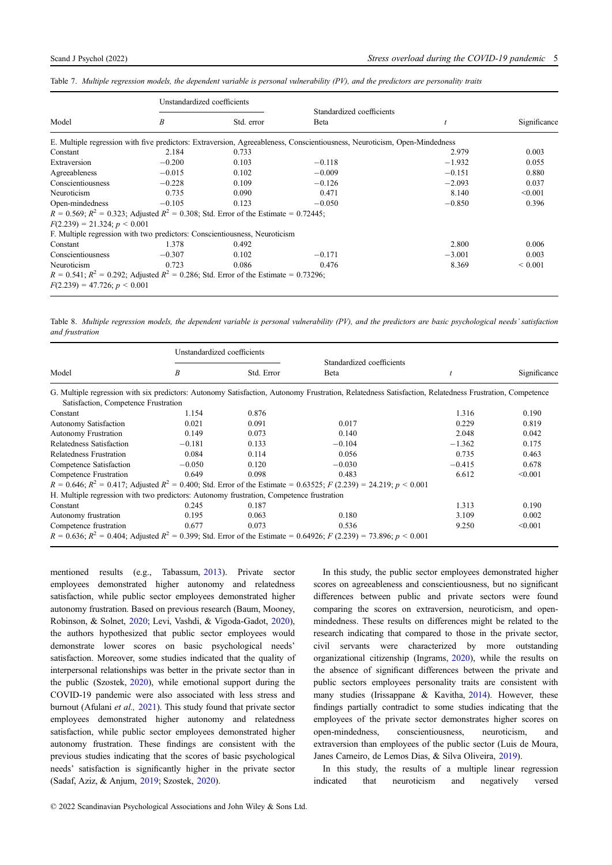|                                                                                              | Unstandardized coefficients |            |                                                                                                                           |          |              |
|----------------------------------------------------------------------------------------------|-----------------------------|------------|---------------------------------------------------------------------------------------------------------------------------|----------|--------------|
|                                                                                              |                             |            | Standardized coefficients                                                                                                 |          |              |
| Model                                                                                        | B                           | Std. error | <b>B</b> eta                                                                                                              |          | Significance |
|                                                                                              |                             |            | E. Multiple regression with five predictors: Extraversion, Agreeableness, Conscientiousness, Neuroticism, Open-Mindedness |          |              |
| Constant                                                                                     | 2.184                       | 0.733      |                                                                                                                           | 2.979    | 0.003        |
| Extraversion                                                                                 | $-0.200$                    | 0.103      | $-0.118$                                                                                                                  | $-1.932$ | 0.055        |
| Agreeableness                                                                                | $-0.015$                    | 0.102      | $-0.009$                                                                                                                  | $-0.151$ | 0.880        |
| Conscientiousness                                                                            | $-0.228$                    | 0.109      | $-0.126$                                                                                                                  | $-2.093$ | 0.037        |
| Neuroticism                                                                                  | 0.735                       | 0.090      | 0.471                                                                                                                     | 8.140    | < 0.001      |
| Open-mindedness                                                                              | $-0.105$                    | 0.123      | $-0.050$                                                                                                                  | $-0.850$ | 0.396        |
| $R = 0.569$ ; $R^2 = 0.323$ ; Adjusted $R^2 = 0.308$ ; Std. Error of the Estimate = 0.72445; |                             |            |                                                                                                                           |          |              |
| $F(2.239) = 21.324$ ; $p < 0.001$                                                            |                             |            |                                                                                                                           |          |              |
| F. Multiple regression with two predictors: Conscientiousness, Neuroticism                   |                             |            |                                                                                                                           |          |              |
| Constant                                                                                     | 1.378                       | 0.492      |                                                                                                                           | 2.800    | 0.006        |
| Conscientiousness                                                                            | $-0.307$                    | 0.102      | $-0.171$                                                                                                                  | $-3.001$ | 0.003        |
| Neuroticism                                                                                  | 0.723                       | 0.086      | 0.476                                                                                                                     | 8.369    | ${}< 0.001$  |
| $R = 0.541$ ; $R^2 = 0.292$ ; Adjusted $R^2 = 0.286$ ; Std. Error of the Estimate = 0.73296; |                             |            |                                                                                                                           |          |              |
| $F(2.239) = 47.726$ ; $p < 0.001$                                                            |                             |            |                                                                                                                           |          |              |

<span id="page-4-0"></span>Table 7. Multiple regression models, the dependent variable is personal vulnerability (PV), and the predictors are personality traits

Table 8. Multiple regression models, the dependent variable is personal vulnerability (PV), and the predictors are basic psychological needs' satisfaction and frustration

|                                                                                          | Unstandardized coefficients |            |                                                                                                                                                        |          |              |
|------------------------------------------------------------------------------------------|-----------------------------|------------|--------------------------------------------------------------------------------------------------------------------------------------------------------|----------|--------------|
| Model                                                                                    | B                           | Std. Error | Standardized coefficients<br>Beta                                                                                                                      |          | Significance |
| Satisfaction, Competence Frustration                                                     |                             |            | G. Multiple regression with six predictors: Autonomy Satisfaction, Autonomy Frustration, Relatedness Satisfaction, Relatedness Frustration, Competence |          |              |
| Constant                                                                                 | 1.154                       | 0.876      |                                                                                                                                                        | 1.316    | 0.190        |
| <b>Autonomy Satisfaction</b>                                                             | 0.021                       | 0.091      | 0.017                                                                                                                                                  | 0.229    | 0.819        |
| <b>Autonomy Frustration</b>                                                              | 0.149                       | 0.073      | 0.140                                                                                                                                                  | 2.048    | 0.042        |
| Relatedness Satisfaction                                                                 | $-0.181$                    | 0.133      | $-0.104$                                                                                                                                               | $-1.362$ | 0.175        |
| Relatedness Frustration                                                                  | 0.084                       | 0.114      | 0.056                                                                                                                                                  | 0.735    | 0.463        |
| Competence Satisfaction                                                                  | $-0.050$                    | 0.120      | $-0.030$                                                                                                                                               | $-0.415$ | 0.678        |
| Competence Frustration                                                                   | 0.649                       | 0.098      | 0.483                                                                                                                                                  | 6.612    | < 0.001      |
|                                                                                          |                             |            | $R = 0.646$ ; $R^2 = 0.417$ ; Adjusted $R^2 = 0.400$ ; Std. Error of the Estimate = 0.63525; F (2.239) = 24.219; p < 0.001                             |          |              |
| H. Multiple regression with two predictors: Autonomy frustration, Competence frustration |                             |            |                                                                                                                                                        |          |              |
| Constant                                                                                 | 0.245                       | 0.187      |                                                                                                                                                        | 1.313    | 0.190        |
| Autonomy frustration                                                                     | 0.195                       | 0.063      | 0.180                                                                                                                                                  | 3.109    | 0.002        |
| Competence frustration                                                                   | 0.677                       | 0.073      | 0.536                                                                                                                                                  | 9.250    | < 0.001      |
|                                                                                          |                             |            | $R = 0.636$ ; $R^2 = 0.404$ ; Adjusted $R^2 = 0.399$ ; Std. Error of the Estimate = 0.64926; F (2.239) = 73.896; p < 0.001                             |          |              |

mentioned results (e.g., Tabassum, [2013](#page-8-0)). Private sector employees demonstrated higher autonomy and relatedness satisfaction, while public sector employees demonstrated higher autonomy frustration. Based on previous research (Baum, Mooney, Robinson, & Solnet, [2020](#page-8-0); Levi, Vashdi, & Vigoda-Gadot, [2020\)](#page-8-0), the authors hypothesized that public sector employees would demonstrate lower scores on basic psychological needs' satisfaction. Moreover, some studies indicated that the quality of interpersonal relationships was better in the private sector than in the public (Szostek, [2020](#page-8-0)), while emotional support during the COVID-19 pandemic were also associated with less stress and burnout (Afulani et al., [2021\)](#page-8-0). This study found that private sector employees demonstrated higher autonomy and relatedness satisfaction, while public sector employees demonstrated higher autonomy frustration. These findings are consistent with the previous studies indicating that the scores of basic psychological needs' satisfaction is significantly higher in the private sector (Sadaf, Aziz, & Anjum, [2019](#page-8-0); Szostek, [2020](#page-8-0)).

© 2022 Scandinavian Psychological Associations and John Wiley & Sons Ltd.

In this study, the public sector employees demonstrated higher scores on agreeableness and conscientiousness, but no significant differences between public and private sectors were found comparing the scores on extraversion, neuroticism, and openmindedness. These results on differences might be related to the research indicating that compared to those in the private sector, civil servants were characterized by more outstanding organizational citizenship (Ingrams, [2020](#page-8-0)), while the results on the absence of significant differences between the private and public sectors employees personality traits are consistent with many studies (Irissappane & Kavitha, [2014\)](#page-8-0). However, these findings partially contradict to some studies indicating that the employees of the private sector demonstrates higher scores on open-mindedness, conscientiousness, neuroticism, and extraversion than employees of the public sector (Luis de Moura, Janes Carneiro, de Lemos Dias, & Silva Oliveira, [2019](#page-8-0)).

In this study, the results of a multiple linear regression indicated that neuroticism and negatively versed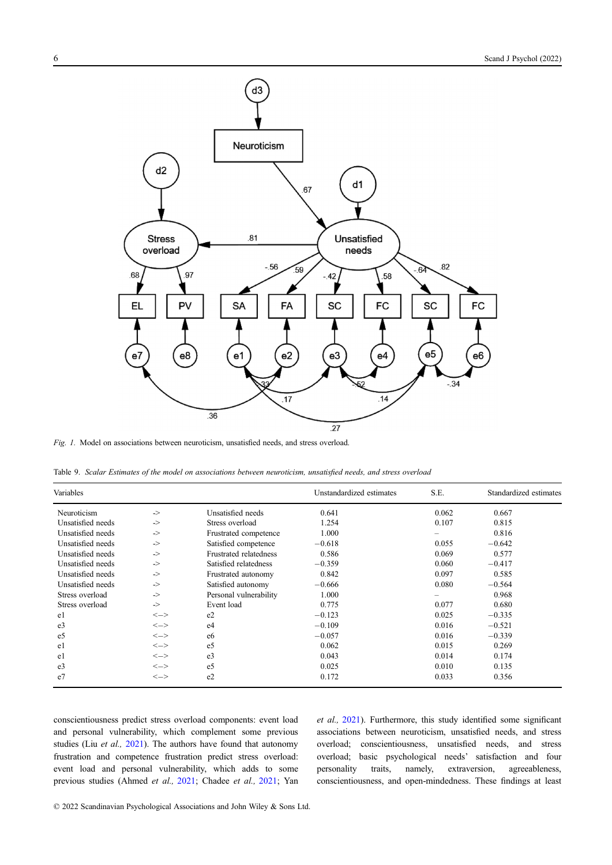<span id="page-5-0"></span>

Fig. 1. Model on associations between neuroticism, unsatisfied needs, and stress overload.

Table 9. Scalar Estimates of the model on associations between neuroticism, unsatisfied needs, and stress overload

| Variables         |                                         |                               | Unstandardized estimates | S.E.  | Standardized estimates |
|-------------------|-----------------------------------------|-------------------------------|--------------------------|-------|------------------------|
| Neuroticism       | $\Rightarrow$                           | Unsatisfied needs             | 0.641                    | 0.062 | 0.667                  |
| Unsatisfied needs | $\Rightarrow$                           | Stress overload               | 1.254                    | 0.107 | 0.815                  |
| Unsatisfied needs | $\Rightarrow$                           | Frustrated competence         | 1.000                    | -     | 0.816                  |
| Unsatisfied needs | $\Rightarrow$                           | Satisfied competence          | $-0.618$                 | 0.055 | $-0.642$               |
| Unsatisfied needs | $\Rightarrow$                           | <b>Frustrated relatedness</b> | 0.586                    | 0.069 | 0.577                  |
| Unsatisfied needs | $\Rightarrow$                           | Satisfied relatedness         | $-0.359$                 | 0.060 | $-0.417$               |
| Unsatisfied needs | $\Rightarrow$                           | Frustrated autonomy           | 0.842                    | 0.097 | 0.585                  |
| Unsatisfied needs | $\Rightarrow$                           | Satisfied autonomy            | $-0.666$                 | 0.080 | $-0.564$               |
| Stress overload   | $\Rightarrow$                           | Personal vulnerability        | 1.000                    |       | 0.968                  |
| Stress overload   | $\Rightarrow$                           | Event load                    | 0.775                    | 0.077 | 0.680                  |
| e1                | $\left\langle \rightarrow\right\rangle$ | e2                            | $-0.123$                 | 0.025 | $-0.335$               |
| e <sub>3</sub>    | $\left\langle \rightarrow\right\rangle$ | e4                            | $-0.109$                 | 0.016 | $-0.521$               |
| e5                | $\left\langle -\right\rangle$           | e6                            | $-0.057$                 | 0.016 | $-0.339$               |
| e1                | $\left\langle -\right\rangle$           | e <sub>5</sub>                | 0.062                    | 0.015 | 0.269                  |
| e1                | $\left\langle -\right\rangle$           | e <sub>3</sub>                | 0.043                    | 0.014 | 0.174                  |
| e3                | $\left\langle -\right\rangle$           | e <sub>5</sub>                | 0.025                    | 0.010 | 0.135                  |
| e7                | $\leftarrow$                            | e2                            | 0.172                    | 0.033 | 0.356                  |

conscientiousness predict stress overload components: event load and personal vulnerability, which complement some previous studies (Liu et al., [2021](#page-8-0)). The authors have found that autonomy frustration and competence frustration predict stress overload: event load and personal vulnerability, which adds to some previous studies (Ahmed et al., [2021](#page-8-0); Chadee et al., [2021;](#page-8-0) Yan et al., [2021\)](#page-8-0). Furthermore, this study identified some significant associations between neuroticism, unsatisfied needs, and stress overload; conscientiousness, unsatisfied needs, and stress overload; basic psychological needs' satisfaction and four personality traits, namely, extraversion, agreeableness, conscientiousness, and open-mindedness. These findings at least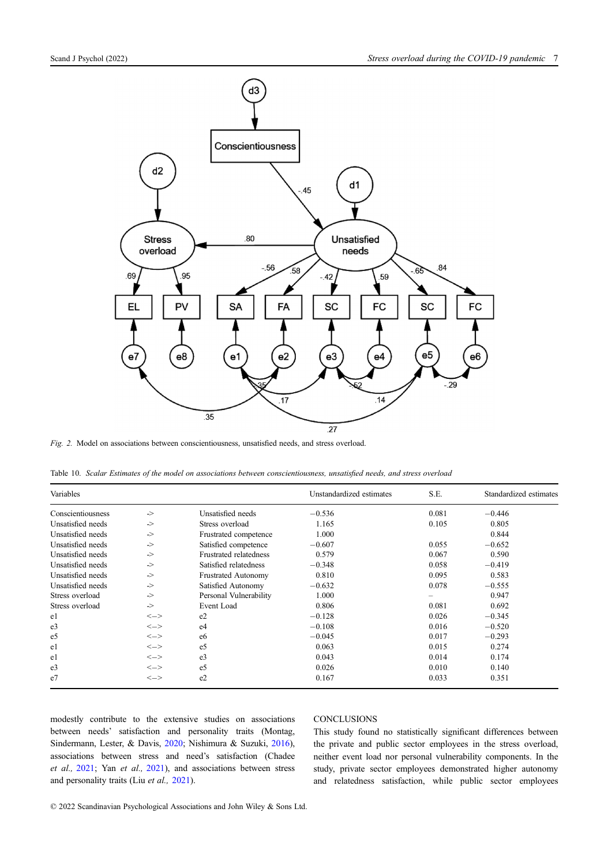<span id="page-6-0"></span>

Fig. 2. Model on associations between conscientiousness, unsatisfied needs, and stress overload.

Table 10. Scalar Estimates of the model on associations between conscientiousness, unsatisfied needs, and stress overload

| Variables         |               |                            | Unstandardized estimates | S.E.  | Standardized estimates |
|-------------------|---------------|----------------------------|--------------------------|-------|------------------------|
| Conscientiousness | $\Rightarrow$ | Unsatisfied needs          | $-0.536$                 | 0.081 | $-0.446$               |
| Unsatisfied needs | $\Rightarrow$ | Stress overload            | 1.165                    | 0.105 | 0.805                  |
| Unsatisfied needs | $\Rightarrow$ | Frustrated competence      | 1.000                    |       | 0.844                  |
| Unsatisfied needs | $\Rightarrow$ | Satisfied competence       | $-0.607$                 | 0.055 | $-0.652$               |
| Unsatisfied needs | ->            | Frustrated relatedness     | 0.579                    | 0.067 | 0.590                  |
| Unsatisfied needs | ->            | Satisfied relatedness      | $-0.348$                 | 0.058 | $-0.419$               |
| Unsatisfied needs | ->            | <b>Frustrated Autonomy</b> | 0.810                    | 0.095 | 0.583                  |
| Unsatisfied needs | ->            | Satisfied Autonomy         | $-0.632$                 | 0.078 | $-0.555$               |
| Stress overload   | ->            | Personal Vulnerability     | 1.000                    |       | 0.947                  |
| Stress overload   | ->            | Event Load                 | 0.806                    | 0.081 | 0.692                  |
| e1                | $\leftarrow$  | e <sub>2</sub>             | $-0.128$                 | 0.026 | $-0.345$               |
| e <sub>3</sub>    | $\leftarrow$  | e <sub>4</sub>             | $-0.108$                 | 0.016 | $-0.520$               |
| e5                | $\leftarrow$  | e6                         | $-0.045$                 | 0.017 | $-0.293$               |
| e1                | $\leftarrow$  | e <sub>5</sub>             | 0.063                    | 0.015 | 0.274                  |
| e1                | $\leftarrow$  | e <sub>3</sub>             | 0.043                    | 0.014 | 0.174                  |
| e <sub>3</sub>    | $\leftarrow$  | e <sub>5</sub>             | 0.026                    | 0.010 | 0.140                  |
| e <sub>7</sub>    | $\leftarrow$  | e2                         | 0.167                    | 0.033 | 0.351                  |

modestly contribute to the extensive studies on associations between needs' satisfaction and personality traits (Montag, Sindermann, Lester, & Davis, [2020](#page-8-0); Nishimura & Suzuki, [2016\)](#page-8-0), associations between stress and need's satisfaction (Chadee et al., [2021](#page-8-0); Yan et al., [2021](#page-8-0)), and associations between stress and personality traits (Liu et al., [2021](#page-8-0)).

### **CONCLUSIONS**

This study found no statistically significant differences between the private and public sector employees in the stress overload, neither event load nor personal vulnerability components. In the study, private sector employees demonstrated higher autonomy and relatedness satisfaction, while public sector employees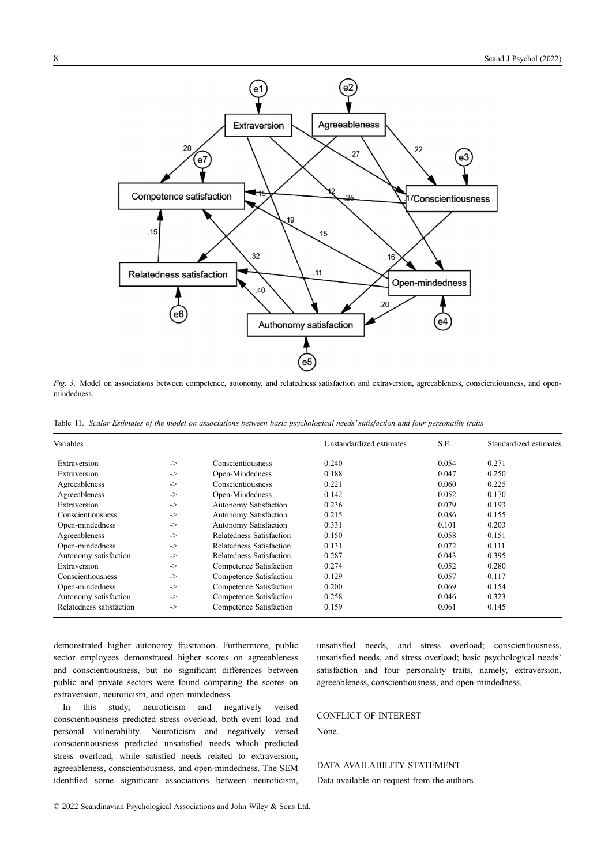<span id="page-7-0"></span>

Fig. 3. Model on associations between competence, autonomy, and relatedness satisfaction and extraversion, agreeableness, conscientiousness, and openmindedness.

Table 11. Scalar Estimates of the model on associations between basic psychological needs' satisfaction and four personality traits

| Variables                |               |                              | Unstandardized estimates | S.E.  | Standardized estimates |
|--------------------------|---------------|------------------------------|--------------------------|-------|------------------------|
| Extraversion             | $\Rightarrow$ | Conscientiousness            | 0.240                    | 0.054 | 0.271                  |
| Extraversion             | $\Rightarrow$ | Open-Mindedness              | 0.188                    | 0.047 | 0.250                  |
| Agreeableness            | $\Rightarrow$ | Conscientiousness            | 0.221                    | 0.060 | 0.225                  |
| Agreeableness            | $\Rightarrow$ | Open-Mindedness              | 0.142                    | 0.052 | 0.170                  |
| Extraversion             | $\Rightarrow$ | Autonomy Satisfaction        | 0.236                    | 0.079 | 0.193                  |
| Conscientiousness        | $\Rightarrow$ | Autonomy Satisfaction        | 0.215                    | 0.086 | 0.155                  |
| Open-mindedness          | $\Rightarrow$ | <b>Autonomy Satisfaction</b> | 0.331                    | 0.101 | 0.203                  |
| Agreeableness            | $\Rightarrow$ | Relatedness Satisfaction     | 0.150                    | 0.058 | 0.151                  |
| Open-mindedness          | $\Rightarrow$ | Relatedness Satisfaction     | 0.131                    | 0.072 | 0.111                  |
| Autonomy satisfaction    | $\Rightarrow$ | Relatedness Satisfaction     | 0.287                    | 0.043 | 0.395                  |
| Extraversion             | $\Rightarrow$ | Competence Satisfaction      | 0.274                    | 0.052 | 0.280                  |
| Conscientiousness        | $\Rightarrow$ | Competence Satisfaction      | 0.129                    | 0.057 | 0.117                  |
| Open-mindedness          | $\Rightarrow$ | Competence Satisfaction      | 0.200                    | 0.069 | 0.154                  |
| Autonomy satisfaction    | $\Rightarrow$ | Competence Satisfaction      | 0.258                    | 0.046 | 0.323                  |
| Relatedness satisfaction | $\Rightarrow$ | Competence Satisfaction      | 0.159                    | 0.061 | 0.145                  |

demonstrated higher autonomy frustration. Furthermore, public sector employees demonstrated higher scores on agreeableness and conscientiousness, but no significant differences between public and private sectors were found comparing the scores on extraversion, neuroticism, and open-mindedness.

In this study, neuroticism and negatively versed conscientiousness predicted stress overload, both event load and personal vulnerability. Neuroticism and negatively versed conscientiousness predicted unsatisfied needs which predicted stress overload, while satisfied needs related to extraversion, agreeableness, conscientiousness, and open-mindedness. The SEM identified some significant associations between neuroticism, unsatisfied needs, and stress overload; conscientiousness, unsatisfied needs, and stress overload; basic psychological needs' satisfaction and four personality traits, namely, extraversion, agreeableness, conscientiousness, and open-mindedness.

## CONFLICT OF INTEREST

None.

#### DATA AVAILABILITY STATEMENT

Data available on request from the authors.

© 2022 Scandinavian Psychological Associations and John Wiley & Sons Ltd.